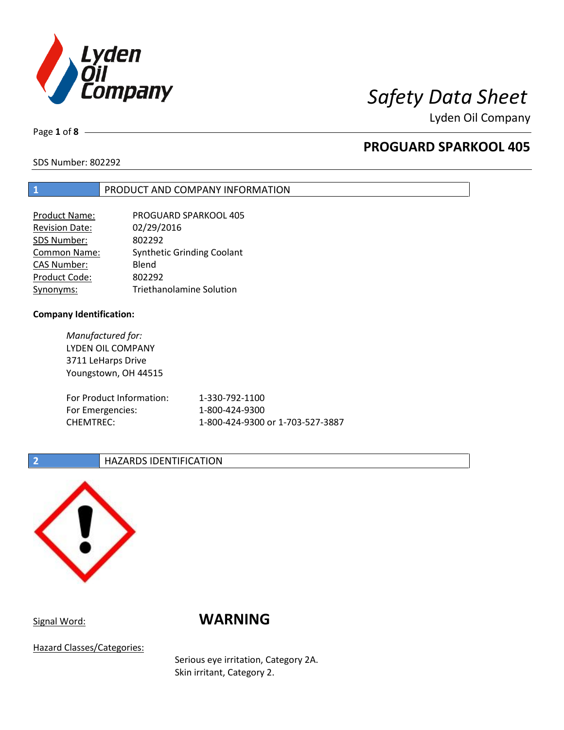

Lyden Oil Company

Page **1** of **8**

# **PROGUARD SPARKOOL 405**

SDS Number: 802292

### **1** PRODUCT AND COMPANY INFORMATION

| <b>Product Name:</b>  | <b>PROGUARD SPARKOOL 405</b>      |
|-----------------------|-----------------------------------|
| <b>Revision Date:</b> | 02/29/2016                        |
| SDS Number:           | 802292                            |
| <b>Common Name:</b>   | <b>Synthetic Grinding Coolant</b> |
| <b>CAS Number:</b>    | Blend                             |
| Product Code:         | 802292                            |
| Synonyms:             | <b>Triethanolamine Solution</b>   |

### **Company Identification:**

*Manufactured for:* LYDEN OIL COMPANY 3711 LeHarps Drive Youngstown, OH 44515 For Product Information: 1-330-792-1100 For Emergencies: 1-800-424-9300 CHEMTREC: 1-800-424-9300 or 1-703-527-3887

### **2 HAZARDS IDENTIFICATION**



## Signal Word: **WARNING**

Hazard Classes/Categories:

Serious eye irritation, Category 2A. Skin irritant, Category 2.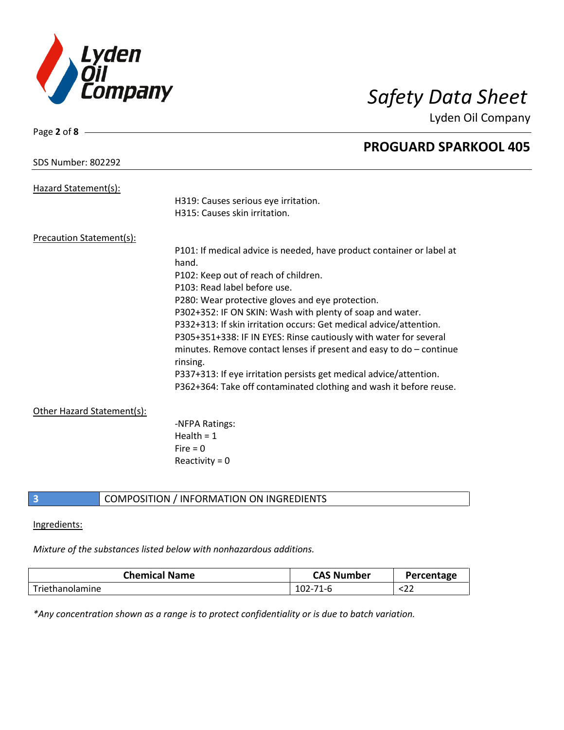

Lyden Oil Company

| Page 2 of $8 -$                 |                                                                                   |
|---------------------------------|-----------------------------------------------------------------------------------|
|                                 | <b>PROGUARD SPARKOOL 405</b>                                                      |
| <b>SDS Number: 802292</b>       |                                                                                   |
| Hazard Statement(s):            |                                                                                   |
|                                 | H319: Causes serious eye irritation.                                              |
|                                 | H315: Causes skin irritation.                                                     |
| <b>Precaution Statement(s):</b> |                                                                                   |
|                                 | P101: If medical advice is needed, have product container or label at             |
|                                 | hand.                                                                             |
|                                 | P102: Keep out of reach of children.                                              |
|                                 | P103: Read label before use.                                                      |
|                                 | P280: Wear protective gloves and eye protection.                                  |
|                                 | P302+352: IF ON SKIN: Wash with plenty of soap and water.                         |
|                                 | P332+313: If skin irritation occurs: Get medical advice/attention.                |
|                                 | P305+351+338: IF IN EYES: Rinse cautiously with water for several                 |
|                                 | minutes. Remove contact lenses if present and easy to $do$ – continue<br>rinsing. |
|                                 | P337+313: If eye irritation persists get medical advice/attention.                |
|                                 | P362+364: Take off contaminated clothing and wash it before reuse.                |
| Other Hazard Statement(s):      |                                                                                   |
|                                 | -NFPA Ratings:                                                                    |
|                                 | Health = $1$                                                                      |
|                                 | $Fire = 0$                                                                        |
|                                 | Reactivity = $0$                                                                  |
|                                 |                                                                                   |

### **3** COMPOSITION / INFORMATION ON INGREDIENTS

### Ingredients:

### *Mixture of the substances listed below with nonhazardous additions.*

| <b>Chemical Name</b> | <b>CAS Number</b> | Percentage |
|----------------------|-------------------|------------|
| Triethanolamine      | $102 -$<br>71-h   | 82 L       |

*\*Any concentration shown as a range is to protect confidentiality or is due to batch variation.*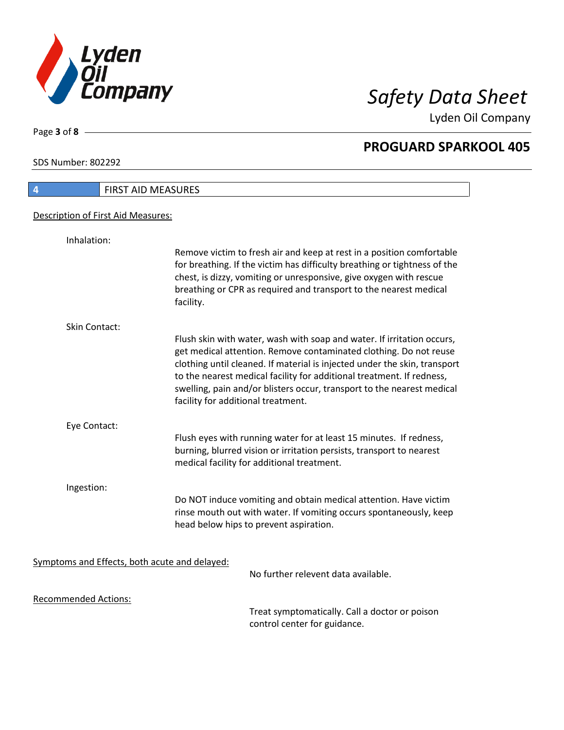

Lyden Oil Company

SDS Number: 802292

Page **3** of **8**

| $\overline{4}$                                | <b>FIRST AID MEASURES</b>                                                                                                                                                                                                                                                                                                                                                                                         |
|-----------------------------------------------|-------------------------------------------------------------------------------------------------------------------------------------------------------------------------------------------------------------------------------------------------------------------------------------------------------------------------------------------------------------------------------------------------------------------|
| Description of First Aid Measures:            |                                                                                                                                                                                                                                                                                                                                                                                                                   |
| Inhalation:                                   |                                                                                                                                                                                                                                                                                                                                                                                                                   |
|                                               | Remove victim to fresh air and keep at rest in a position comfortable<br>for breathing. If the victim has difficulty breathing or tightness of the<br>chest, is dizzy, vomiting or unresponsive, give oxygen with rescue<br>breathing or CPR as required and transport to the nearest medical<br>facility.                                                                                                        |
| <b>Skin Contact:</b>                          |                                                                                                                                                                                                                                                                                                                                                                                                                   |
|                                               | Flush skin with water, wash with soap and water. If irritation occurs,<br>get medical attention. Remove contaminated clothing. Do not reuse<br>clothing until cleaned. If material is injected under the skin, transport<br>to the nearest medical facility for additional treatment. If redness,<br>swelling, pain and/or blisters occur, transport to the nearest medical<br>facility for additional treatment. |
| Eye Contact:                                  |                                                                                                                                                                                                                                                                                                                                                                                                                   |
|                                               | Flush eyes with running water for at least 15 minutes. If redness,<br>burning, blurred vision or irritation persists, transport to nearest<br>medical facility for additional treatment.                                                                                                                                                                                                                          |
| Ingestion:                                    |                                                                                                                                                                                                                                                                                                                                                                                                                   |
|                                               | Do NOT induce vomiting and obtain medical attention. Have victim<br>rinse mouth out with water. If vomiting occurs spontaneously, keep<br>head below hips to prevent aspiration.                                                                                                                                                                                                                                  |
| Symptoms and Effects, both acute and delayed: |                                                                                                                                                                                                                                                                                                                                                                                                                   |
|                                               | No further relevent data available.                                                                                                                                                                                                                                                                                                                                                                               |
| <b>Recommended Actions:</b>                   |                                                                                                                                                                                                                                                                                                                                                                                                                   |
|                                               | Treat symptomatically. Call a doctor or poison                                                                                                                                                                                                                                                                                                                                                                    |

Treat symptomatically. Call a doctor or poison control center for guidance.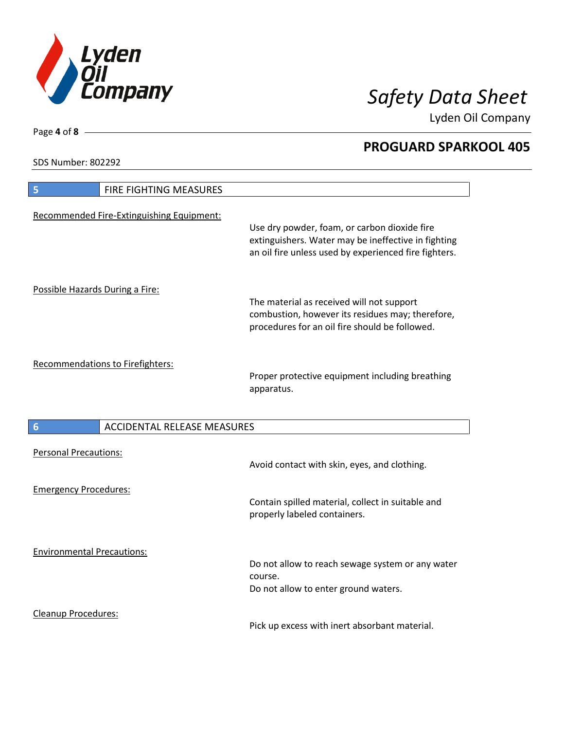

Lyden Oil Company

SDS Number: 802292

Page **4** of **8**

| FIRE FIGHTING MEASURES<br>5               |                                                                                                                                                              |
|-------------------------------------------|--------------------------------------------------------------------------------------------------------------------------------------------------------------|
| Recommended Fire-Extinguishing Equipment: | Use dry powder, foam, or carbon dioxide fire<br>extinguishers. Water may be ineffective in fighting<br>an oil fire unless used by experienced fire fighters. |
| Possible Hazards During a Fire:           | The material as received will not support<br>combustion, however its residues may; therefore,<br>procedures for an oil fire should be followed.              |
| Recommendations to Firefighters:          | Proper protective equipment including breathing<br>apparatus.                                                                                                |
| <b>ACCIDENTAL RELEASE MEASURES</b><br>6   |                                                                                                                                                              |
| <b>Personal Precautions:</b>              | Avoid contact with skin, eyes, and clothing.                                                                                                                 |
| <b>Emergency Procedures:</b>              | Contain spilled material, collect in suitable and<br>properly labeled containers.                                                                            |
| <b>Environmental Precautions:</b>         | Do not allow to reach sewage system or any water<br>course.<br>Do not allow to enter ground waters.                                                          |
| <b>Cleanup Procedures:</b>                |                                                                                                                                                              |

Pick up excess with inert absorbant material.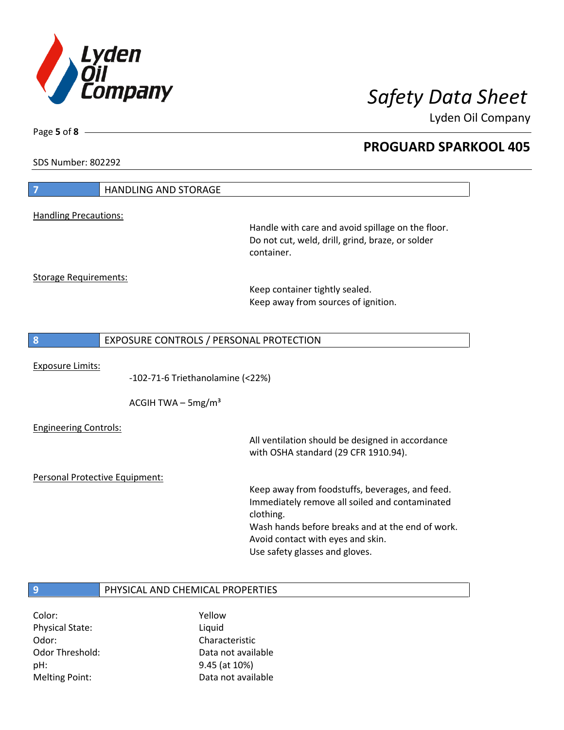

Lyden Oil Company

SDS Number: 802292

Page **5** of **8**

| 7                              | <b>HANDLING AND STORAGE</b>             |                                                   |
|--------------------------------|-----------------------------------------|---------------------------------------------------|
| <b>Handling Precautions:</b>   |                                         |                                                   |
|                                |                                         | Handle with care and avoid spillage on the floor. |
|                                |                                         | Do not cut, weld, drill, grind, braze, or solder  |
|                                |                                         | container.                                        |
|                                |                                         |                                                   |
| <b>Storage Requirements:</b>   |                                         | Keep container tightly sealed.                    |
|                                |                                         | Keep away from sources of ignition.               |
|                                |                                         |                                                   |
| 8                              | EXPOSURE CONTROLS / PERSONAL PROTECTION |                                                   |
|                                |                                         |                                                   |
| <b>Exposure Limits:</b>        |                                         |                                                   |
|                                | -102-71-6 Triethanolamine (<22%)        |                                                   |
|                                | ACGIH TWA $-$ 5mg/m <sup>3</sup>        |                                                   |
| <b>Engineering Controls:</b>   |                                         |                                                   |
|                                |                                         | All ventilation should be designed in accordance  |
|                                |                                         | with OSHA standard (29 CFR 1910.94).              |
| Personal Protective Equipment: |                                         |                                                   |
|                                |                                         | Keep away from foodstuffs, beverages, and feed.   |
|                                |                                         | Immediately remove all soiled and contaminated    |
|                                |                                         | clothing.                                         |
|                                |                                         | Wash hands before breaks and at the end of work.  |
|                                |                                         | Avoid contact with eyes and skin.                 |
|                                |                                         | Use safety glasses and gloves.                    |
|                                |                                         |                                                   |
| 9                              | PHYSICAL AND CHEMICAL PROPERTIES        |                                                   |
| Color:                         | Yellow                                  |                                                   |

Physical State: Liquid Odor: Characteristic pH: 9.45 (at 10%)

Odor Threshold: Data not available Melting Point: Case Controller Muslim Data not available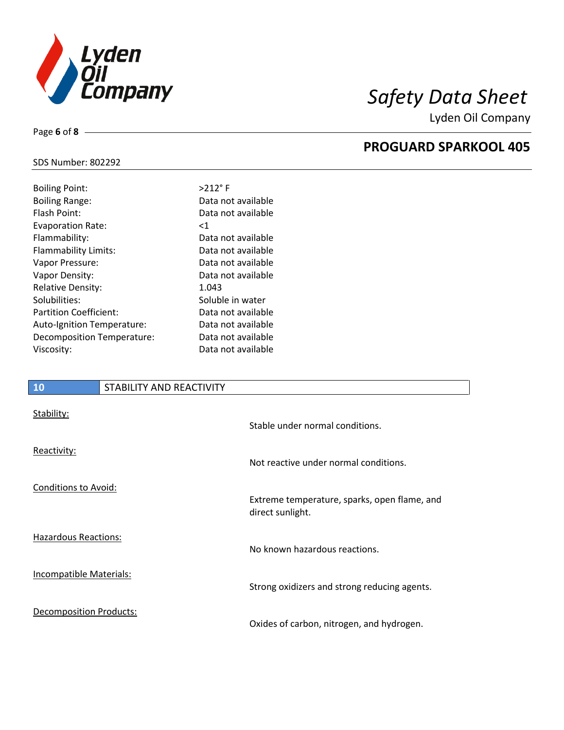

Lyden Oil Company

### SDS Number: 802292

Page **6** of **8**

| <b>Boiling Point:</b>         | $>212$ °F          |
|-------------------------------|--------------------|
| <b>Boiling Range:</b>         | Data not available |
| Flash Point:                  | Data not available |
| <b>Evaporation Rate:</b>      | $<$ 1              |
| Flammability:                 | Data not available |
| Flammability Limits:          | Data not available |
| Vapor Pressure:               | Data not available |
| Vapor Density:                | Data not available |
| <b>Relative Density:</b>      | 1.043              |
| Solubilities:                 | Soluble in water   |
| <b>Partition Coefficient:</b> | Data not available |
| Auto-Ignition Temperature:    | Data not available |
| Decomposition Temperature:    | Data not available |
| Viscosity:                    | Data not available |
|                               |                    |

### **10** STABILITY AND REACTIVITY

| Stability:                     | Stable under normal conditions.                                  |
|--------------------------------|------------------------------------------------------------------|
| Reactivity:                    | Not reactive under normal conditions.                            |
| Conditions to Avoid:           | Extreme temperature, sparks, open flame, and<br>direct sunlight. |
| <b>Hazardous Reactions:</b>    | No known hazardous reactions.                                    |
| <b>Incompatible Materials:</b> | Strong oxidizers and strong reducing agents.                     |
| Decomposition Products:        | Oxides of carbon, nitrogen, and hydrogen.                        |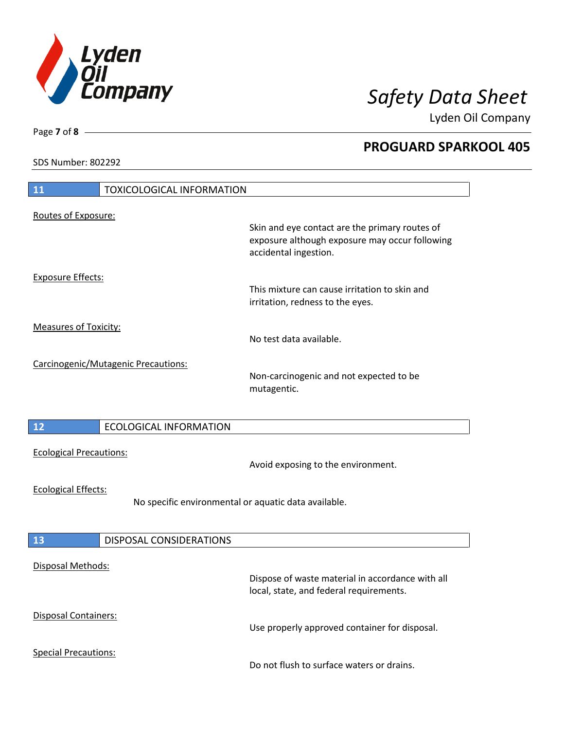

Lyden Oil Company

SDS Number: 802292

| 11<br><b>TOXICOLOGICAL INFORMATION</b>                                             |                                                                                                                           |
|------------------------------------------------------------------------------------|---------------------------------------------------------------------------------------------------------------------------|
| Routes of Exposure:                                                                | Skin and eye contact are the primary routes of<br>exposure although exposure may occur following<br>accidental ingestion. |
| <b>Exposure Effects:</b>                                                           | This mixture can cause irritation to skin and<br>irritation, redness to the eyes.                                         |
| <b>Measures of Toxicity:</b>                                                       | No test data available.                                                                                                   |
| Carcinogenic/Mutagenic Precautions:                                                | Non-carcinogenic and not expected to be<br>mutagentic.                                                                    |
| 12<br><b>ECOLOGICAL INFORMATION</b>                                                |                                                                                                                           |
| <b>Ecological Precautions:</b>                                                     | Avoid exposing to the environment.                                                                                        |
| <b>Ecological Effects:</b><br>No specific environmental or aquatic data available. |                                                                                                                           |
| <b>13</b><br>DISPOSAL CONSIDERATIONS                                               |                                                                                                                           |
| <b>Disposal Methods:</b>                                                           | Dispose of waste material in accordance with all<br>local, state, and federal requirements.                               |
| Disposal Containers:                                                               | Use properly approved container for disposal.                                                                             |
| <b>Special Precautions:</b>                                                        | Do not flush to surface waters or drains.                                                                                 |

Page **7** of **8**